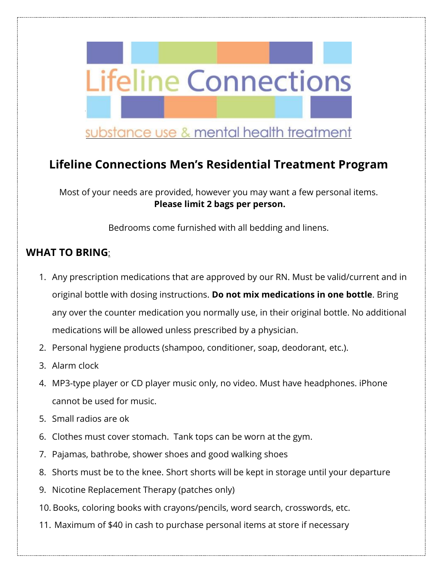

# **Lifeline Connections Men's Residential Treatment Program**

Most of your needs are provided, however you may want a few personal items. **Please limit 2 bags per person.**

Bedrooms come furnished with all bedding and linens.

## **WHAT TO BRING**:

- 1. Any prescription medications that are approved by our RN. Must be valid/current and in original bottle with dosing instructions. **Do not mix medications in one bottle**. Bring any over the counter medication you normally use, in their original bottle. No additional medications will be allowed unless prescribed by a physician.
- 2. Personal hygiene products (shampoo, conditioner, soap, deodorant, etc.).
- 3. Alarm clock
- 4. MP3-type player or CD player music only, no video. Must have headphones. iPhone cannot be used for music.
- 5. Small radios are ok
- 6. Clothes must cover stomach. Tank tops can be worn at the gym.
- 7. Pajamas, bathrobe, shower shoes and good walking shoes
- 8. Shorts must be to the knee. Short shorts will be kept in storage until your departure
- 9. Nicotine Replacement Therapy (patches only)
- 10. Books, coloring books with crayons/pencils, word search, crosswords, etc.
- 11. Maximum of \$40 in cash to purchase personal items at store if necessary